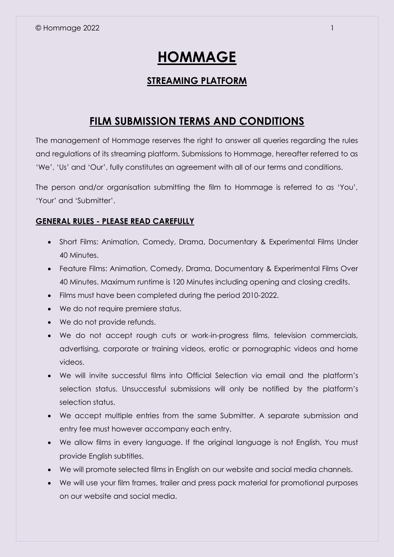# **HOMMAGE**

### **STREAMING PLATFORM**

## **FILM SUBMISSION TERMS AND CONDITIONS**

The management of Hommage reserves the right to answer all queries regarding the rules and regulations of its streaming platform. Submissions to Hommage, hereafter referred to as 'We', 'Us' and 'Our', fully constitutes an agreement with all of our terms and conditions.

The person and/or organisation submitting the film to Hommage is referred to as 'You', 'Your' and 'Submitter'.

#### **GENERAL RULES - PLEASE READ CAREFULLY**

- Short Films: Animation, Comedy, Drama, Documentary & Experimental Films Under 40 Minutes.
- Feature Films: Animation, Comedy, Drama, Documentary & Experimental Films Over 40 Minutes. Maximum runtime is 120 Minutes including opening and closing credits.
- Films must have been completed during the period 2010-2022.
- We do not require premiere status.
- We do not provide refunds.
- We do not accept rough cuts or work-in-progress films, television commercials, advertising, corporate or training videos, erotic or pornographic videos and home videos.
- We will invite successful films into Official Selection via email and the platform's selection status. Unsuccessful submissions will only be notified by the platform's selection status.
- We accept multiple entries from the same Submitter. A separate submission and entry fee must however accompany each entry.
- We allow films in every language. If the original language is not English, You must provide English subtitles.
- We will promote selected films in English on our website and social media channels.
- We will use your film frames, trailer and press pack material for promotional purposes on our website and social media.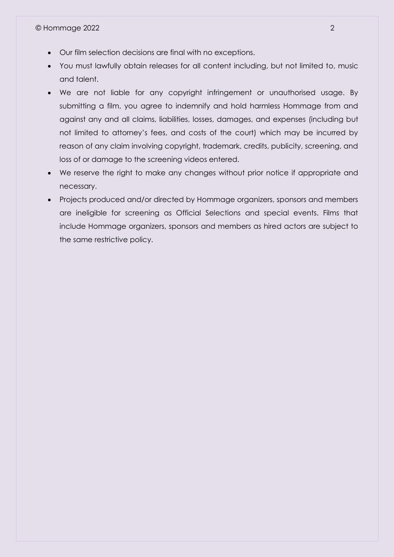- Our film selection decisions are final with no exceptions.
- You must lawfully obtain releases for all content including, but not limited to, music and talent.
- We are not liable for any copyright infringement or unauthorised usage. By submitting a film, you agree to indemnify and hold harmless Hommage from and against any and all claims, liabilities, losses, damages, and expenses (including but not limited to attorney's fees, and costs of the court) which may be incurred by reason of any claim involving copyright, trademark, credits, publicity, screening, and loss of or damage to the screening videos entered.
- We reserve the right to make any changes without prior notice if appropriate and necessary.
- Projects produced and/or directed by Hommage organizers, sponsors and members are ineligible for screening as Official Selections and special events. Films that include Hommage organizers, sponsors and members as hired actors are subject to the same restrictive policy.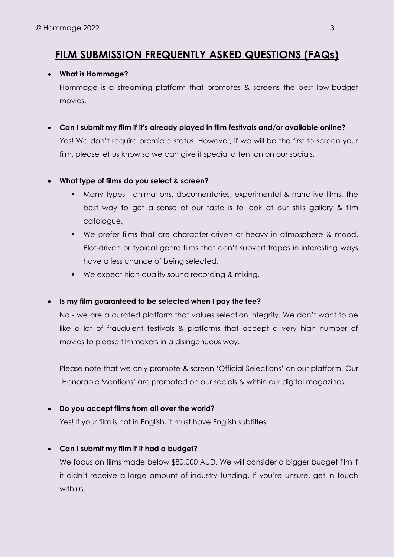## **FILM SUBMISSION FREQUENTLY ASKED QUESTIONS (FAQs)**

#### **What is Hommage?**

Hommage is a streaming platform that promotes & screens the best low-budget movies.

 **Can I submit my film if it's already played in film festivals and/or available online?** Yes! We don't require premiere status. However, if we will be the first to screen your film, please let us know so we can give it special attention on our socials.

#### **What type of films do you select & screen?**

- Many types animations, documentaries, experimental & narrative films. The best way to get a sense of our taste is to look at our stills gallery & film catalogue.
- We prefer films that are character-driven or heavy in atmosphere & mood. Plot-driven or typical genre films that don't subvert tropes in interesting ways have a less chance of being selected.
- We expect high-quality sound recording & mixing.

#### **Is my film guaranteed to be selected when I pay the fee?**

No - we are a curated platform that values selection integrity. We don't want to be like a lot of fraudulent festivals & platforms that accept a very high number of movies to please filmmakers in a disingenuous way.

Please note that we only promote & screen 'Official Selections' on our platform. Our 'Honorable Mentions' are promoted on our socials & within our digital magazines.

#### **Do you accept films from all over the world?**

Yes! If your film is not in English, it must have English subtitles.

#### **Can I submit my film if it had a budget?**

We focus on films made below \$80,000 AUD. We will consider a bigger budget film if it didn't receive a large amount of industry funding. If you're unsure, get in touch with us.